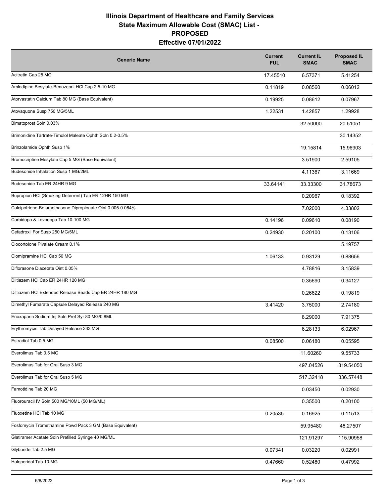## **Illinois Department of Healthcare and Family Services State Maximum Allowable Cost (SMAC) List - PROPOSED Effective 07/01/2022**

| <b>Generic Name</b>                                        | <b>Current</b><br><b>FUL</b> | <b>Current IL</b><br><b>SMAC</b> | <b>Proposed IL</b><br><b>SMAC</b> |
|------------------------------------------------------------|------------------------------|----------------------------------|-----------------------------------|
| Acitretin Cap 25 MG                                        | 17.45510                     | 6.57371                          | 5.41254                           |
| Amlodipine Besylate-Benazepril HCl Cap 2.5-10 MG           | 0.11819                      | 0.08560                          | 0.06012                           |
| Atorvastatin Calcium Tab 80 MG (Base Equivalent)           | 0.19925                      | 0.08612                          | 0.07967                           |
| Atovaquone Susp 750 MG/5ML                                 | 1.22531                      | 1.42857                          | 1.29928                           |
| Bimatoprost Soln 0.03%                                     |                              | 32.50000                         | 20.51051                          |
| Brimonidine Tartrate-Timolol Maleate Ophth Soln 0.2-0.5%   |                              |                                  | 30.14352                          |
| Brinzolamide Ophth Susp 1%                                 |                              | 19.15814                         | 15.96903                          |
| Bromocriptine Mesylate Cap 5 MG (Base Equivalent)          |                              | 3.51900                          | 2.59105                           |
| Budesonide Inhalation Susp 1 MG/2ML                        |                              | 4.11367                          | 3.11669                           |
| Budesonide Tab ER 24HR 9 MG                                | 33.64141                     | 33.33300                         | 31.78673                          |
| Bupropion HCI (Smoking Deterrent) Tab ER 12HR 150 MG       |                              | 0.20967                          | 0.18392                           |
| Calcipotriene-Betamethasone Dipropionate Oint 0.005-0.064% |                              | 7.02000                          | 4.33802                           |
| Carbidopa & Levodopa Tab 10-100 MG                         | 0.14196                      | 0.09610                          | 0.08190                           |
| Cefadroxil For Susp 250 MG/5ML                             | 0.24930                      | 0.20100                          | 0.13106                           |
| Clocortolone Pivalate Cream 0.1%                           |                              |                                  | 5.19757                           |
| Clomipramine HCl Cap 50 MG                                 | 1.06133                      | 0.93129                          | 0.88656                           |
| Diflorasone Diacetate Oint 0.05%                           |                              | 4.78816                          | 3.15839                           |
| Diltiazem HCl Cap ER 24HR 120 MG                           |                              | 0.35690                          | 0.34127                           |
| Diltiazem HCl Extended Release Beads Cap ER 24HR 180 MG    |                              | 0.26622                          | 0.19819                           |
| Dimethyl Fumarate Capsule Delayed Release 240 MG           | 3.41420                      | 3.75000                          | 2.74180                           |
| Enoxaparin Sodium Inj Soln Pref Syr 80 MG/0.8ML            |                              | 8.29000                          | 7.91375                           |
| Erythromycin Tab Delayed Release 333 MG                    |                              | 6.28133                          | 6.02967                           |
| Estradiol Tab 0.5 MG                                       | 0.08500                      | 0.06180                          | 0.05595                           |
| Everolimus Tab 0.5 MG                                      |                              | 11.60260                         | 9.55733                           |
| Everolimus Tab for Oral Susp 3 MG                          |                              | 497.04526                        | 319.54050                         |
| Everolimus Tab for Oral Susp 5 MG                          |                              | 517.32418                        | 336.57448                         |
| Famotidine Tab 20 MG                                       |                              | 0.03450                          | 0.02930                           |
| Fluorouracil IV Soln 500 MG/10ML (50 MG/ML)                |                              | 0.35500                          | 0.20100                           |
| Fluoxetine HCl Tab 10 MG                                   | 0.20535                      | 0.16925                          | 0.11513                           |
| Fosfomycin Tromethamine Powd Pack 3 GM (Base Equivalent)   |                              | 59.95480                         | 48.27507                          |
| Glatiramer Acetate Soln Prefilled Syringe 40 MG/ML         |                              | 121.91297                        | 115.90958                         |
| Glyburide Tab 2.5 MG                                       | 0.07341                      | 0.03220                          | 0.02991                           |
| Haloperidol Tab 10 MG                                      | 0.47660                      | 0.52480                          | 0.47992                           |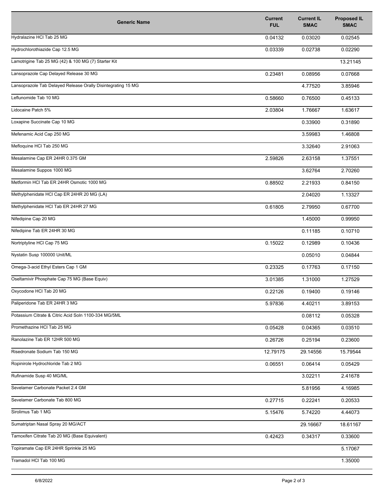| <b>Generic Name</b>                                          | <b>Current</b><br><b>FUL</b> | <b>Current IL</b><br><b>SMAC</b> | <b>Proposed IL</b><br><b>SMAC</b> |
|--------------------------------------------------------------|------------------------------|----------------------------------|-----------------------------------|
| Hydralazine HCl Tab 25 MG                                    | 0.04132                      | 0.03020                          | 0.02545                           |
| Hydrochlorothiazide Cap 12.5 MG                              | 0.03339                      | 0.02738                          | 0.02290                           |
| Lamotrigine Tab 25 MG (42) & 100 MG (7) Starter Kit          |                              |                                  | 13.21145                          |
| Lansoprazole Cap Delayed Release 30 MG                       | 0.23481                      | 0.08956                          | 0.07668                           |
| Lansoprazole Tab Delayed Release Orally Disintegrating 15 MG |                              | 4.77520                          | 3.85946                           |
| Leflunomide Tab 10 MG                                        | 0.58660                      | 0.76500                          | 0.45133                           |
| Lidocaine Patch 5%                                           | 2.03804                      | 1.76667                          | 1.63617                           |
| Loxapine Succinate Cap 10 MG                                 |                              | 0.33900                          | 0.31890                           |
| Mefenamic Acid Cap 250 MG                                    |                              | 3.59983                          | 1.46808                           |
| Mefloquine HCl Tab 250 MG                                    |                              | 3.32640                          | 2.91063                           |
| Mesalamine Cap ER 24HR 0.375 GM                              | 2.59826                      | 2.63158                          | 1.37551                           |
| Mesalamine Suppos 1000 MG                                    |                              | 3.62764                          | 2.70260                           |
| Metformin HCI Tab ER 24HR Osmotic 1000 MG                    | 0.88502                      | 2.21933                          | 0.84150                           |
| Methylphenidate HCl Cap ER 24HR 20 MG (LA)                   |                              | 2.04020                          | 1.13327                           |
| Methylphenidate HCl Tab ER 24HR 27 MG                        | 0.61805                      | 2.79950                          | 0.67700                           |
| Nifedipine Cap 20 MG                                         |                              | 1.45000                          | 0.99950                           |
| Nifedipine Tab ER 24HR 30 MG                                 |                              | 0.11185                          | 0.10710                           |
| Nortriptyline HCI Cap 75 MG                                  | 0.15022                      | 0.12989                          | 0.10436                           |
| Nystatin Susp 100000 Unit/ML                                 |                              | 0.05010                          | 0.04844                           |
| Omega-3-acid Ethyl Esters Cap 1 GM                           | 0.23325                      | 0.17763                          | 0.17150                           |
| Oseltamivir Phosphate Cap 75 MG (Base Equiv)                 | 3.01385                      | 1.31000                          | 1.27529                           |
| Oxycodone HCl Tab 20 MG                                      | 0.22126                      | 0.19400                          | 0.19146                           |
| Paliperidone Tab ER 24HR 3 MG                                | 5.97836                      | 4.40211                          | 3.89153                           |
| Potassium Citrate & Citric Acid Soln 1100-334 MG/5ML         |                              | 0.08112                          | 0.05328                           |
| Promethazine HCl Tab 25 MG                                   | 0.05428                      | 0.04365                          | 0.03510                           |
| Ranolazine Tab ER 12HR 500 MG                                | 0.26726                      | 0.25194                          | 0.23600                           |
| Risedronate Sodium Tab 150 MG                                | 12.79175                     | 29.14556                         | 15.79544                          |
| Ropinirole Hydrochloride Tab 2 MG                            | 0.06551                      | 0.06414                          | 0.05429                           |
| Rufinamide Susp 40 MG/ML                                     |                              | 3.02211                          | 2.41678                           |
| Sevelamer Carbonate Packet 2.4 GM                            |                              | 5.81956                          | 4.16985                           |
| Sevelamer Carbonate Tab 800 MG                               | 0.27715                      | 0.22241                          | 0.20533                           |
| Sirolimus Tab 1 MG                                           | 5.15476                      | 5.74220                          | 4.44073                           |
| Sumatriptan Nasal Spray 20 MG/ACT                            |                              | 29.16667                         | 18.61167                          |
| Tamoxifen Citrate Tab 20 MG (Base Equivalent)                | 0.42423                      | 0.34317                          | 0.33600                           |
| Topiramate Cap ER 24HR Sprinkle 25 MG                        |                              |                                  | 5.17067                           |
| Tramadol HCl Tab 100 MG                                      |                              |                                  | 1.35000                           |